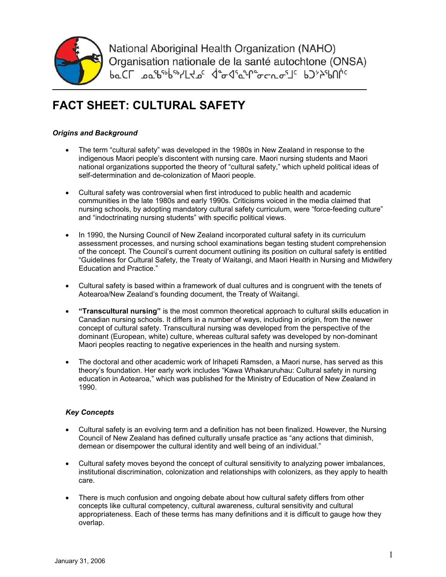

National Aboriginal Health Organization (NAHO) Organisation nationale de la santé autochtone (ONSA) **baCL** \_pa<sup>s</sup>b<sup>sb</sup>bsb/LKpc dedsayDecrashc bJ>>SbUnc

# **FACT SHEET: CULTURAL SAFETY**

### *Origins and Background*

- The term "cultural safety" was developed in the 1980s in New Zealand in response to the indigenous Maori people's discontent with nursing care. Maori nursing students and Maori national organizations supported the theory of "cultural safety," which upheld political ideas of self-determination and de-colonization of Maori people.
- Cultural safety was controversial when first introduced to public health and academic communities in the late 1980s and early 1990s. Criticisms voiced in the media claimed that nursing schools, by adopting mandatory cultural safety curriculum, were "force-feeding culture" and "indoctrinating nursing students" with specific political views.
- In 1990, the Nursing Council of New Zealand incorporated cultural safety in its curriculum assessment processes, and nursing school examinations began testing student comprehension of the concept. The Council's current document outlining its position on cultural safety is entitled "Guidelines for Cultural Safety, the Treaty of Waitangi, and Maori Health in Nursing and Midwifery Education and Practice."
- Cultural safety is based within a framework of dual cultures and is congruent with the tenets of Aotearoa/New Zealand's founding document, the Treaty of Waitangi.
- **"Transcultural nursing"** is the most common theoretical approach to cultural skills education in Canadian nursing schools. It differs in a number of ways, including in origin, from the newer concept of cultural safety. Transcultural nursing was developed from the perspective of the dominant (European, white) culture, whereas cultural safety was developed by non-dominant Maori peoples reacting to negative experiences in the health and nursing system.
- The doctoral and other academic work of Irihapeti Ramsden, a Maori nurse, has served as this theory's foundation. Her early work includes "Kawa Whakaruruhau: Cultural safety in nursing education in Aotearoa," which was published for the Ministry of Education of New Zealand in 1990.

## *Key Concepts*

- Cultural safety is an evolving term and a definition has not been finalized. However, the Nursing Council of New Zealand has defined culturally unsafe practice as "any actions that diminish, demean or disempower the cultural identity and well being of an individual."
- Cultural safety moves beyond the concept of cultural sensitivity to analyzing power imbalances, institutional discrimination, colonization and relationships with colonizers, as they apply to health care.
- There is much confusion and ongoing debate about how cultural safety differs from other concepts like cultural competency, cultural awareness, cultural sensitivity and cultural appropriateness. Each of these terms has many definitions and it is difficult to gauge how they overlap.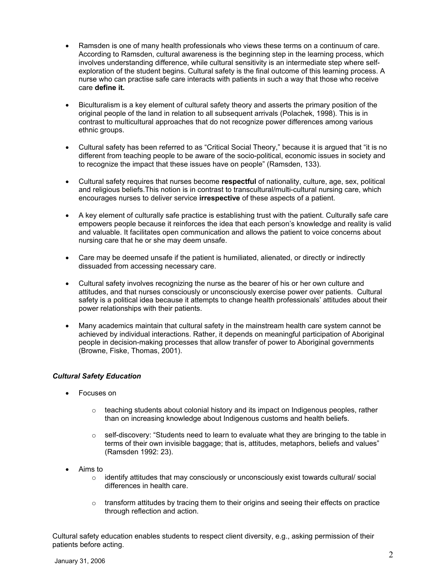- Ramsden is one of many health professionals who views these terms on a continuum of care. According to Ramsden, cultural awareness is the beginning step in the learning process, which involves understanding difference, while cultural sensitivity is an intermediate step where selfexploration of the student begins. Cultural safety is the final outcome of this learning process. A nurse who can practise safe care interacts with patients in such a way that those who receive care **define it.**
- Biculturalism is a key element of cultural safety theory and asserts the primary position of the original people of the land in relation to all subsequent arrivals (Polachek, 1998). This is in contrast to multicultural approaches that do not recognize power differences among various ethnic groups.
- Cultural safety has been referred to as "Critical Social Theory," because it is argued that "it is no different from teaching people to be aware of the socio-political, economic issues in society and to recognize the impact that these issues have on people" (Ramsden, 133).
- Cultural safety requires that nurses become **respectful** of nationality, culture, age, sex, political and religious beliefs.This notion is in contrast to transcultural/multi-cultural nursing care, which encourages nurses to deliver service **irrespective** of these aspects of a patient.
- A key element of culturally safe practice is establishing trust with the patient. Culturally safe care empowers people because it reinforces the idea that each person's knowledge and reality is valid and valuable. It facilitates open communication and allows the patient to voice concerns about nursing care that he or she may deem unsafe.
- Care may be deemed unsafe if the patient is humiliated, alienated, or directly or indirectly dissuaded from accessing necessary care.
- Cultural safety involves recognizing the nurse as the bearer of his or her own culture and attitudes, and that nurses consciously or unconsciously exercise power over patients. Cultural safety is a political idea because it attempts to change health professionals' attitudes about their power relationships with their patients.
- Many academics maintain that cultural safety in the mainstream health care system cannot be achieved by individual interactions. Rather, it depends on meaningful participation of Aboriginal people in decision-making processes that allow transfer of power to Aboriginal governments (Browne, Fiske, Thomas, 2001).

#### *Cultural Safety Education*

- Focuses on
	- $\circ$  teaching students about colonial history and its impact on Indigenous peoples, rather than on increasing knowledge about Indigenous customs and health beliefs.
	- $\circ$  self-discovery: "Students need to learn to evaluate what they are bringing to the table in terms of their own invisible baggage; that is, attitudes, metaphors, beliefs and values" (Ramsden 1992: 23).
- Aims to
	- $\circ$  identify attitudes that may consciously or unconsciously exist towards cultural/ social differences in health care.
	- $\circ$  transform attitudes by tracing them to their origins and seeing their effects on practice through reflection and action.

Cultural safety education enables students to respect client diversity, e.g., asking permission of their patients before acting.